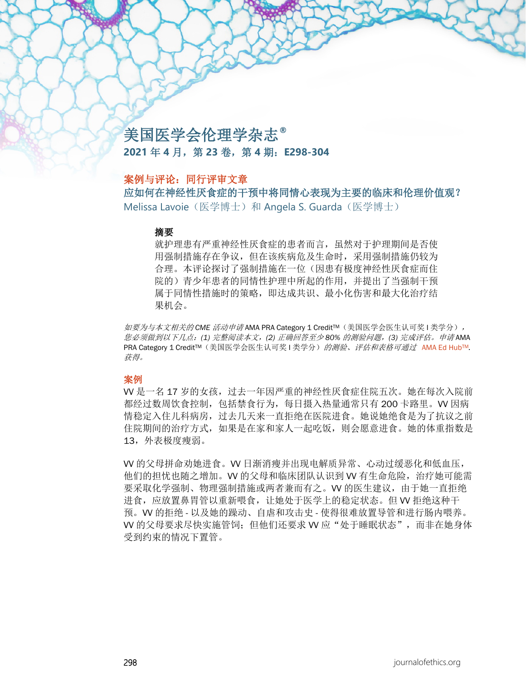# 美国医学会伦理学杂志**® 2021** 年 **4** 月,第 **23** 卷,第 **4** 期:**E298-304**

## 案例与评论:同行评审文章

应如何在神经性厌食症的干预中将同情心表现为主要的临床和伦理价值观? Melissa Lavoie (医学博士)和 Angela S. Guarda (医学博士)

#### 摘要

就护理患有严重神经性厌食症的患者而言,虽然对于护理期间是否使 用强制措施存在争议,但在该疾病危及生命时,采用强制措施仍较为 合理。本评论探讨了强制措施在一位(因患有极度神经性厌食症而住 院的)青少年患者的同情性护理中所起的作用,并提出了当强制干预 属于同情性措施时的策略,即达成共识、最小化伤害和最大化治疗结 果机会。

如要为与本文相关的 *CME* 活动申请 AMA PRA Category 1 CreditTM(美国医学会医生认可奖 I 类学分), 您必须做到以下几点:*(1)* 完整阅读本文,*(2)* 正确回答至少 *80%* 的测验问题,*(3)* 完成评估。申请 AMA PRA Category 1 Credit™(美国医学会医生认可奖 I 类学分) 的测验、评估和表格可通过 AMA Ed Hub™. 获得。

#### 案例

VV 是一名 17 岁的女孩,过去一年因严重的神经性厌食症住院五次。她在每次入院前 都经过数周饮食控制,包括禁食行为,每日摄入热量通常只有 200 卡路里。VV 因病 情稳定入住儿科病房,过去几天来一直拒绝在医院进食。她说她绝食是为了抗议之前 住院期间的治疗方式,如果是在家和家人一起吃饭,则会愿意进食。她的体重指数是 13,外表极度瘦弱。

VV 的父母拼命劝她进食。VV 日渐消瘦并出现电解质异常、心动过缓恶化和低血压, 他们的担忧也随之增加。VV 的父母和临床团队认识到 VV 有生命危险,治疗她可能需 要采取化学强制、物理强制措施或两者兼而有之。VV 的医生建议,由于她一直拒绝 进食,应放置鼻胃管以重新喂食,让她处于医学上的稳定状态。但 VV 拒绝这种干 预。VV 的拒绝 - 以及她的躁动、自虐和攻击史 - 使得很难放置导管和进行肠内喂养。 VV 的父母要求尽快实施管饲;但他们还要求 VV 应"处于睡眠状态",而非在她身体 受到约束的情况下置管。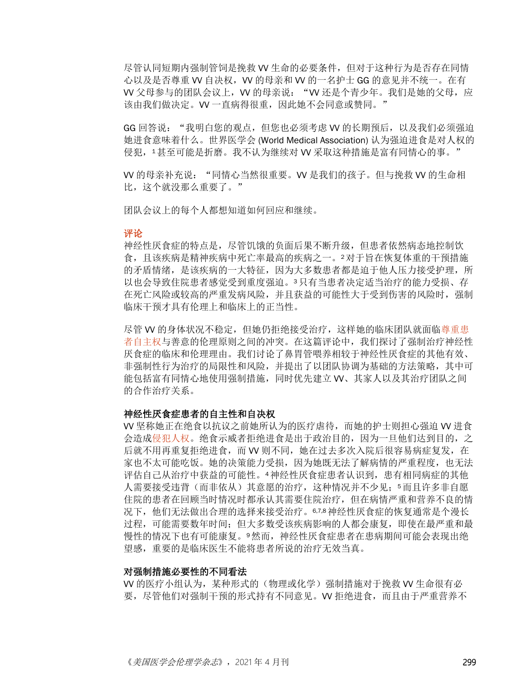尽管认同短期内强制管饲是挽救 VV 生命的必要条件,但对于这种行为是否存在同情 心以及是否尊重 W 自决权, W 的母亲和 W 的一名护士 GG 的意见并不统一。在有 VV 父母参与的团队会议上,VV 的母亲说:"VV 还是个青少年。我们是她的父母,应 该由我们做决定。W 一直病得很重, 因此她不会同意或赞同。"

GG 回答说: "我明白您的观点, 但您也必须考虑 VV 的长期预后, 以及我们必须强迫 她进食意味着什么。世界医学会 (World Medical Association) 认为强迫进食是对人权的 侵犯,1甚至可能是折磨。我不认为继续对 VV 采取这种措施是富有同情心的事。"

VV 的母亲补充说:"同情心当然很重要。VV 是我们的孩子。但与挽救 VV 的生命相 比,这个就没那么重要了。"

团队会议上的每个人都想知道如何回应和继续。

#### 评论

神经性厌食症的特点是,尽管饥饿的负面后果不断升级,但患者依然病态地控制饮 食,且该疾病是精神疾病中死亡率最高的疾病之一。2对于旨在恢复体重的干预措施 的矛盾情绪, 是该疾病的一大特征,因为大多数患者都是迫于他人压力接受护理, 所 以也会导致住院患者感觉受到重度强迫。3只有当患者决定适当治疗的能力受损、存 在死亡风险或较高的严重发病风险,并且获益的可能性大于受到伤害的风险时,强制 临床干预才具有伦理上和临床上的正当性。

尽管 VV 的身体状况不稳定,但她仍拒绝接受治疗,这样她的临床团队就面[临尊重患](https://journalofethics.ama-assn.org/article/adolescent-eating-disorder/2005-03) [者自主权与](https://journalofethics.ama-assn.org/article/adolescent-eating-disorder/2005-03)善意的伦理原则之间的冲突。在这篇评论中,我们探讨了强制治疗神经性 厌食症的临床和伦理理由。我们讨论了鼻胃管喂养相较于神经性厌食症的其他有效、 非强制性行为治疗的局限性和风险,并提出了以团队协调为基础的方法策略,其中可 能包括富有同情心地使用强制措施,同时优先建立 VV、其家人以及其治疗团队之间 的合作治疗关系。

#### 神经性厌食症患者的自主性和自决权

VV 坚称她正在绝食以抗议之前她所认为的医疗虐待,而她的护士则担心强迫 VV 进食 会造[成侵犯人权。](https://journalofethics.ama-assn.org/article/force-feeding-prisoners-wrong/2015-10)绝食示威者拒绝进食是出于政治目的,因为一旦他们达到目的,之 后就不用再重复拒绝进食,而 VV 则不同,她在过去多次入院后很容易病症复发,在 家也不太可能吃饭。她的决策能力受损,因为她既无法了解病情的严重程度,也无法 评估自己从治疗中获益的可能性。4神经性厌食症患者认识到,患有相同病症的其他 人需要接受违背(而非依从)其意愿的治疗,这种情况并不少见;5而且许多非自愿 住院的患者在回顾当时情况时都承认其需要住院治疗,但在病情严重和营养不良的情 况下,他们无法做出合理的选择来接受治疗。6,7,8神经性厌食症的恢复通常是个漫长 过程,可能需要数年时间;但大多数受该疾病影响的人都会康复,即使在最严重和最 慢性的情况下也有可能康复。9然而,神经性厌食症患者在患病期间可能会表现出绝 望感,重要的是临床医生不能将患者所说的治疗无效当真。

#### 对强制措施必要性的不同看法

VV 的医疗小组认为,某种形式的(物理或化学)强制措施对于挽救 VV 生命很有必 要,尽管他们对强制干预的形式持有不同意见。W 拒绝进食,而且由于严重营养不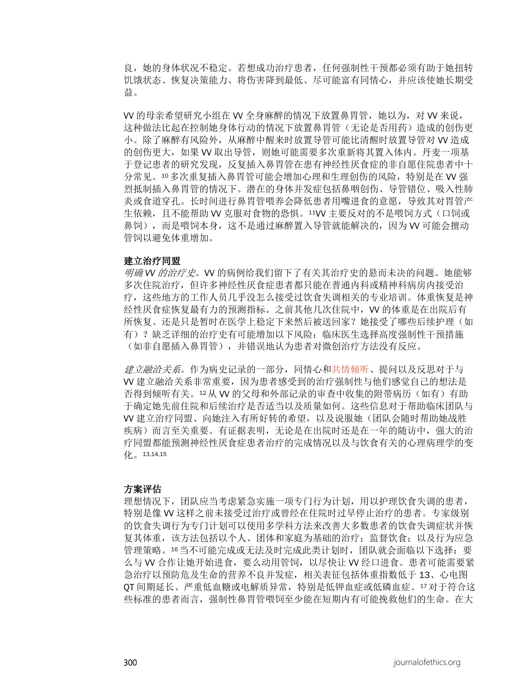良,她的身体状况不稳定。若想成功治疗患者,任何强制性干预都必须有助于她扭转 饥饿状态、恢复决策能力、将伤害降到最低、尽可能富有同情心,并应该使她长期受 益。

VV 的母亲希望研究小组在 VV 全身麻醉的情况下放置鼻胃管,她以为,对 VV 来说, 这种做法比起在控制她身体行动的情况下放置鼻胃管(无论是否用药)造成的创伤更 小。除了麻醉有风险外,从麻醉中醒来时放置导管可能比清醒时放置导管对 VV 造成 的创伤更大,如果 VV 取出导管,则她可能需要多次重新将其置入体内。丹麦一项基 于登记患者的研究发现,反复插入鼻胃管在患有神经性厌食症的非自愿住院患者中十 分常见。10多次重复插入鼻胃管可能会增加心理和生理创伤的风险,特别是在 VV 强 烈抵制插入鼻胃管的情况下。潜在的身体并发症包括鼻咽创伤、导管错位、吸入性肺 炎或食道穿孔。长时间进行鼻胃管喂养会降低患者用嘴进食的意愿,导致其对胃管产 生依赖,且不能帮助 W 克服对食物的恐惧。11W 主要反对的不是喂饲方式(口饲或 鼻饲),而是喂饲本身,这不是通过麻醉置入导管就能解决的,因为 W 可能会擅动 管饲以避免体重增加。

#### 建立治疗同盟

明确 *VV* 的治疗史。VV 的病例给我们留下了有关其治疗史的悬而未决的问题。她能够 多次住院治疗,但许多神经性厌食症患者都只能在普通内科或精神科病房内接受治 疗,这些地方的工作人员几乎没怎么接受过饮食失调相关的专业培训。体重恢复是神 经性厌食症恢复最有力的预测指标。之前其他几次住院中,VV 的体重是在出院后有 所恢复、还是只是暂时在医学上稳定下来然后被送回家?她接受了哪些后续护理(如 有)?缺乏详细的治疗史有可能增加以下风险:临床医生选择高度强制性干预措施 (如非自愿插入鼻胃管),并错误地认为患者对微创治疗方法没有反应。

建立融洽关系。作为病史记录的一部分,同情心[和共情倾听、](https://journalofethics.ama-assn.org/article/curriculum-caring-fostering-compassionate-person-centered-health-care/2016-04)提问以及反思对于与 VV 建立融洽关系非常重要,因为患者感受到的治疗强制性与他们感觉自己的想法是 否得到倾听有关。12从 VV 的父母和外部记录的审查中收集的附带病历(如有)有助 于确定她先前住院和后续治疗是否适当以及质量如何。这些信息对于帮助临床团队与 VV 建立治疗同盟、向她注入有所好转的希望,以及说服她(团队会随时帮助她战胜 疾病)而言至关重要。有证据表明,无论是在出院时还是在一年的随访中,强大的治 疗同盟都能预测神经性厌食症患者治疗的完成情况以及与饮食有关的心理病理学的变 化。13,14,15

#### 方案评估

理想情况下,团队应当考虑紧急实施一项专门行为计划,用以护理饮食失调的患者, 特别是像 VV 这样之前未接受过治疗或曾经在住院时过早停止治疗的患者。专家级别 的饮食失调行为专门计划可以使用多学科方法来改善大多数患者的饮食失调症状并恢 复其体重,该方法包括以个人、团体和家庭为基础的治疗;监督饮食;以及行为应急 管理策略。16当不可能完成或无法及时完成此类计划时,团队就会面临以下选择:要 么与 W 合作让她开始进食,要么动用管饲, 以尽快让 W 经口进食。患者可能需要紧 急治疗以预防危及生命的营养不良并发症,相关表征包括体重指数低于 13、心电图 QT 间期延长、严重低血糖或电解质异常,特别是低钾血症或低磷血症。17对于符合这 些标准的患者而言,强制性鼻胃管喂饲至少能在短期内有可能挽救他们的生命。在大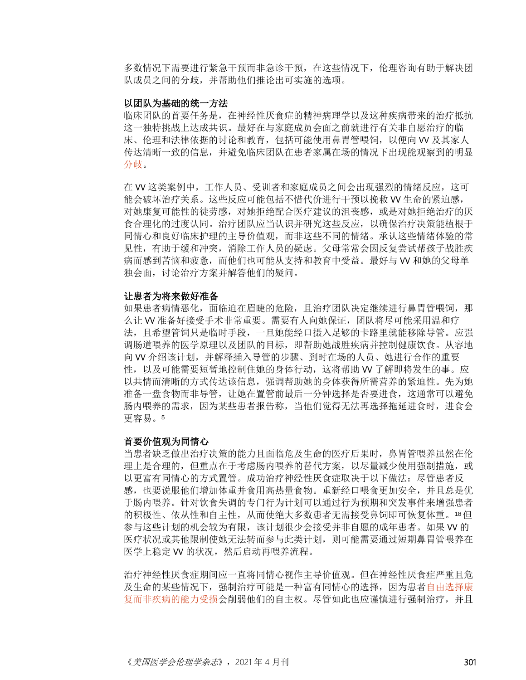多数情况下需要进行紧急干预而非急诊干预,在这些情况下,伦理咨询有助于解决团 队成员之间的分歧,并帮助他们推论出可实施的选项。

#### 以团队为基础的统一方法

临床团队的首要任务是,在神经性厌食症的精神病理学以及这种疾病带来的治疗抵抗 这一独特挑战上达成共识。最好在与家庭成员会面之前就进行有关非自愿治疗的临 床、伦理和法律依据的讨论和教育,包括可能使用鼻胃管喂饲,以便向 VV 及其家人 传达清晰一致的信息,并避免临床团队在患者家属在场的情况下出现能观察到的明显 [分歧。](https://journalofethics.ama-assn.org/article/team-response-internal-disagreement-about-professional-conduct/2013-06)

在 VV 这类案例中,工作人员、受训者和家庭成员之间会出现强烈的情绪反应,这可 能会破坏治疗关系。这些反应可能包括不惜代价进行干预以挽救 VV 生命的紧迫感, 对她康复可能性的徒劳感,对她拒绝配合医疗建议的沮丧感,或是对她拒绝治疗的厌 食合理化的过度认同。治疗团队应当认识并研究这些反应,以确保治疗决策能植根于 同情心和良好临床护理的主导价值观,而非这些不同的情绪。承认这些情绪体验的常 见性,有助于缓和冲突,消除工作人员的疑虑。父母常常会因反复尝试帮孩子战胜疾 病而感到苦恼和疲惫,而他们也可能从支持和教育中受益。最好与 VV 和她的父母单 独会面,讨论治疗方案并解答他们的疑问。

#### 让患者为将来做好准备

如果患者病情恶化,面临迫在眉睫的危险,且治疗团队决定继续进行鼻胃管喂饲,那 么让 VV 准备好接受手术非常重要。需要有人向她保证, 团队将尽可能采用温和疗 法,且希望管饲只是临时手段,一旦她能经口摄入足够的卡路里就能移除导管。应强 调肠道喂养的医学原理以及团队的目标,即帮助她战胜疾病并控制健康饮食。从容地 向 VV 介绍该计划,并解释插入导管的步骤、到时在场的人员、她进行合作的重要 性,以及可能需要短暂地控制住她的身体行动,这将帮助 VV 了解即将发生的事。应 以共情而清晰的方式传达该信息, 强调帮助她的身体获得所需营养的紧迫性。先为她 准备一盘食物而非导管,让她在置管前最后一分钟选择是否要进食,这通常可以避免 肠内喂养的需求,因为某些患者报告称,当他们觉得无法再选择拖延进食时,进食会 更容易。<sup>5</sup>

#### 首要价值观为同情心

当患者缺乏做出治疗决策的能力且面临危及生命的医疗后果时,鼻胃管喂养虽然在伦 理上是合理的,但重点在于考虑肠内喂养的替代方案,以尽量减少使用强制措施,或 以更富有同情心的方式置管。成功治疗神经性厌食症取决于以下做法:尽管患者反 感,也要说服他们增加体重并食用高热量食物。重新经口喂食更加安全,并且总是优 于肠内喂养。针对饮食失调的专门行为计划可以通过行为预期和突发事件来增强患者 的积极性、依从性和自主性,从而使绝大多数患者无需接受鼻饲即可恢复体重。18但 参与这些计划的机会较为有限,该计划很少会接受并非自愿的成年患者。如果 VV 的 医疗状况或其他限制使她无法转而参与此类计划,则可能需要通过短期鼻胃管喂养在 医学上稳定 VV 的状况, 然后启动再喂养流程。

治疗神经性厌食症期间应一直将同情心视作主导价值观。但在神经性厌食症严重且危 及生命的某些情况下,强制治疗可能是一种富有同情心的选择,因为患[者自由选择康](https://journalofethics.ama-assn.org/article/influence-psychiatric-symptoms-decisional-capacity-treatment-refusal/2017-05) [复而非疾病的能力受损会](https://journalofethics.ama-assn.org/article/influence-psychiatric-symptoms-decisional-capacity-treatment-refusal/2017-05)削弱他们的自主权。尽管如此也应谨慎进行强制治疗,并且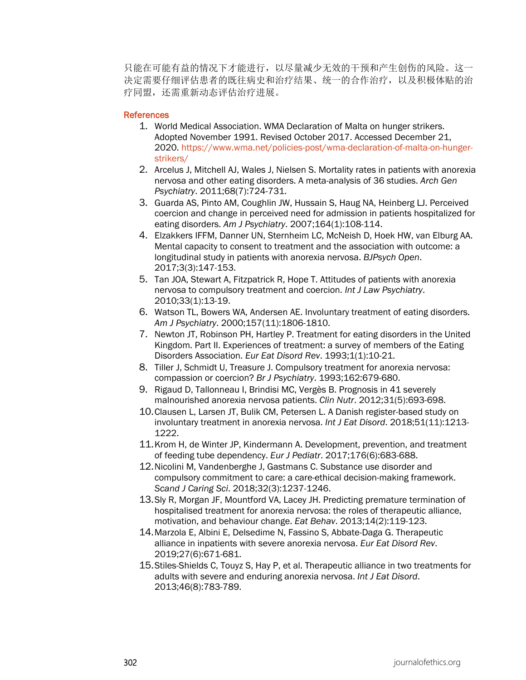只能在可能有益的情况下才能进行,以尽量减少无效的干预和产生创伤的风险。这一 决定需要仔细评估患者的既往病史和治疗结果、统一的合作治疗,以及积极体贴的治 疗同盟,还需重新动态评估治疗进展。

#### **References**

- 1. World Medical Association. WMA Declaration of Malta on hunger strikers. Adopted November 1991. Revised October 2017. Accessed December 21, 2020. [https://www.wma.net/policies-post/wma-declaration-of-malta-on-hunger](https://www.wma.net/policies-post/wma-declaration-of-malta-on-hunger-strikers/)[strikers/](https://www.wma.net/policies-post/wma-declaration-of-malta-on-hunger-strikers/)
- 2. Arcelus J, Mitchell AJ, Wales J, Nielsen S. Mortality rates in patients with anorexia nervosa and other eating disorders. A meta-analysis of 36 studies. *Arch Gen Psychiatry*. 2011;68(7):724-731.
- 3. Guarda AS, Pinto AM, Coughlin JW, Hussain S, Haug NA, Heinberg LJ. Perceived coercion and change in perceived need for admission in patients hospitalized for eating disorders. *Am J Psychiatry*. 2007;164(1):108-114.
- 4. Elzakkers IFFM, Danner UN, Sternheim LC, McNeish D, Hoek HW, van Elburg AA. Mental capacity to consent to treatment and the association with outcome: a longitudinal study in patients with anorexia nervosa. *BJPsych Open*. 2017;3(3):147-153.
- 5. Tan JOA, Stewart A, Fitzpatrick R, Hope T. Attitudes of patients with anorexia nervosa to compulsory treatment and coercion. *Int J Law Psychiatry*. 2010;33(1):13-19.
- 6. Watson TL, Bowers WA, Andersen AE. Involuntary treatment of eating disorders. *Am J Psychiatry*. 2000;157(11):1806-1810.
- 7. Newton JT, Robinson PH, Hartley P. Treatment for eating disorders in the United Kingdom. Part II. Experiences of treatment: a survey of members of the Eating Disorders Association. *Eur Eat Disord Rev*. 1993;1(1):10-21.
- 8. Tiller J, Schmidt U, Treasure J. Compulsory treatment for anorexia nervosa: compassion or coercion? *Br J Psychiatry*. 1993;162:679-680.
- 9. Rigaud D, Tallonneau I, Brindisi MC, Vergès B. Prognosis in 41 severely malnourished anorexia nervosa patients. *Clin Nutr*. 2012;31(5):693-698.
- 10.Clausen L, Larsen JT, Bulik CM, Petersen L. A Danish register-based study on involuntary treatment in anorexia nervosa. *Int J Eat Disord*. 2018;51(11):1213- 1222.
- 11.Krom H, de Winter JP, Kindermann A. Development, prevention, and treatment of feeding tube dependency. *Eur J Pediatr*. 2017;176(6):683-688.
- 12.Nicolini M, Vandenberghe J, Gastmans C. Substance use disorder and compulsory commitment to care: a care-ethical decision-making framework. *Scand J Caring Sci*. 2018;32(3):1237-1246.
- 13.Sly R, Morgan JF, Mountford VA, Lacey JH. Predicting premature termination of hospitalised treatment for anorexia nervosa: the roles of therapeutic alliance, motivation, and behaviour change. *Eat Behav*. 2013;14(2):119-123.
- 14.Marzola E, Albini E, Delsedime N, Fassino S, Abbate-Daga G. Therapeutic alliance in inpatients with severe anorexia nervosa. *Eur Eat Disord Rev*. 2019;27(6):671-681.
- 15.Stiles-Shields C, Touyz S, Hay P, et al. Therapeutic alliance in two treatments for adults with severe and enduring anorexia nervosa. *Int J Eat Disord*. 2013;46(8):783-789.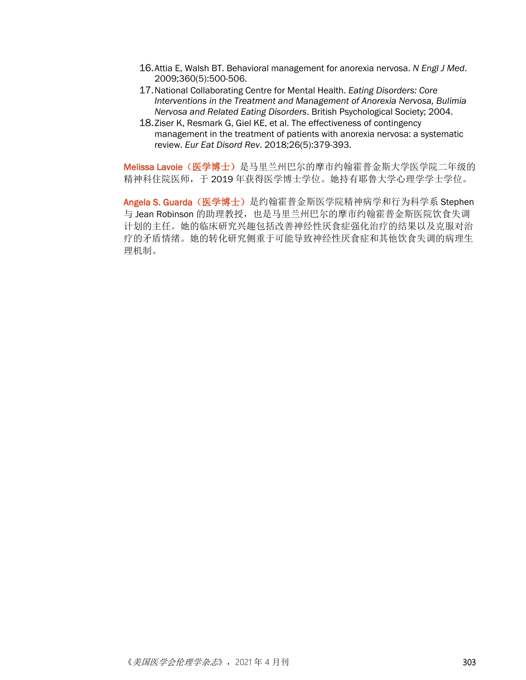- 16.Attia E, Walsh BT. Behavioral management for anorexia nervosa. *N Engl J Med*. 2009;360(5):500-506.
- 17.National Collaborating Centre for Mental Health. *Eating Disorders: Core Interventions in the Treatment and Management of Anorexia Nervosa, Bulimia Nervosa and Related Eating Disorders*. British Psychological Society; 2004.
- 18.Ziser K, Resmark G, Giel KE, et al. The effectiveness of contingency management in the treatment of patients with anorexia nervosa: a systematic review. *Eur Eat Disord Rev*. 2018;26(5):379-393.

Melissa Lavoie (医学博士) 是马里兰州巴尔的摩市约翰霍普金斯大学医学院二年级的 精神科住院医师,于 2019 年获得医学博士学位。她持有耶鲁大学心理学学士学位。

Angela S. Guarda (医学博士) 是约翰霍普金斯医学院精神病学和行为科学系 Stephen 与 Jean Robinson 的助理教授,也是马里兰州巴尔的摩市约翰霍普金斯医院饮食失调 计划的主任。她的临床研究兴趣包括改善神经性厌食症强化治疗的结果以及克服对治 疗的矛盾情绪。她的转化研究侧重于可能导致神经性厌食症和其他饮食失调的病理生 理机制。